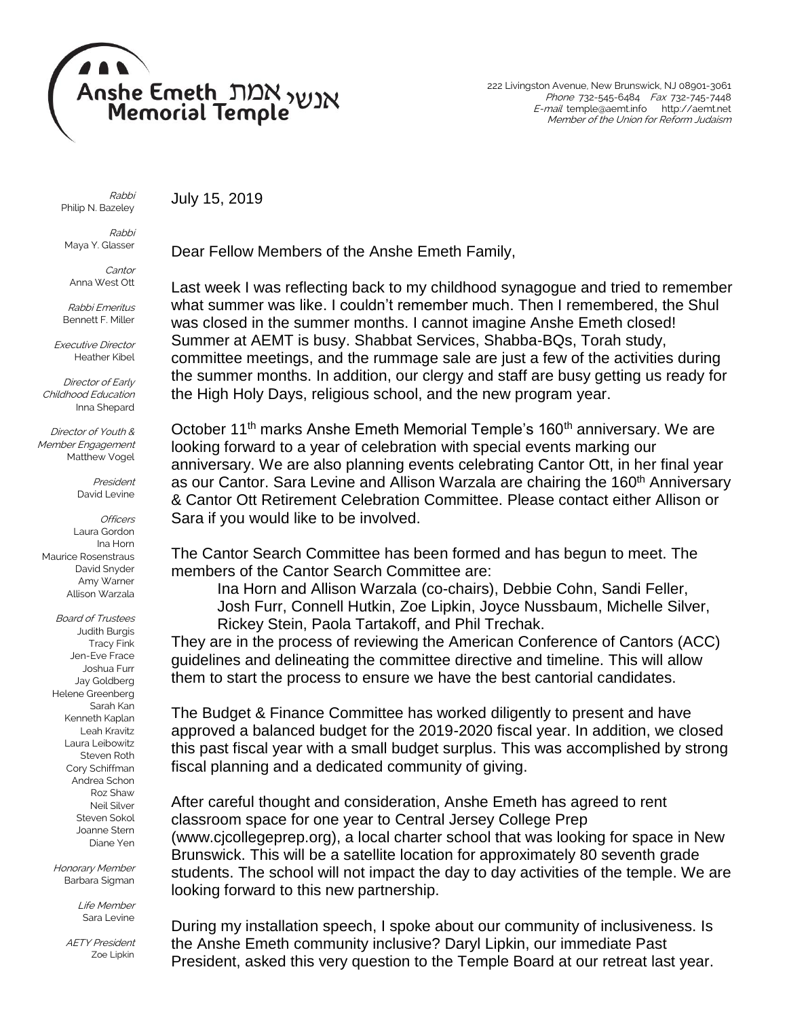

July 15, 2019

222 Livingston Avenue, New Brunswick, NJ 08901-3061 Phone 732-545-6484 Fax 732-745-7448 E-mail temple@aemt.info http://aemt.net Member of the Union for Reform Judaism

Rabbi Philip N. Bazeley

Rabbi Maya Y. Glasser

**Cantor** Anna West Ott

Rabbi Emeritus Bennett F. Miller

Executive Director Heather Kibel

Director of Early Childhood Education Inna Shepard

Director of Youth & Member Engagement Matthew Vogel

> President David Levine

**Officers** Laura Gordon Ina Horn Maurice Rosenstraus David Snyder Amy Warner Allison Warzala

Board of Trustees Judith Burgis Tracy Fink Jen-Eve Frace Joshua Furr Jay Goldberg Helene Greenberg Sarah Kan Kenneth Kaplan Leah Kravitz Laura Leibowitz Steven Roth Cory Schiffman Andrea Schon Roz Shaw Neil Silver Steven Sokol Joanne Stern Diane Yen

Honorary Member Barbara Sigman

> Life Member Sara Levine

AETY President Zoe Lipkin

Dear Fellow Members of the Anshe Emeth Family,

Last week I was reflecting back to my childhood synagogue and tried to remember what summer was like. I couldn't remember much. Then I remembered, the Shul was closed in the summer months. I cannot imagine Anshe Emeth closed! Summer at AEMT is busy. Shabbat Services, Shabba-BQs, Torah study, committee meetings, and the rummage sale are just a few of the activities during the summer months. In addition, our clergy and staff are busy getting us ready for the High Holy Days, religious school, and the new program year.

October 11<sup>th</sup> marks Anshe Emeth Memorial Temple's 160<sup>th</sup> anniversary. We are looking forward to a year of celebration with special events marking our anniversary. We are also planning events celebrating Cantor Ott, in her final year as our Cantor. Sara Levine and Allison Warzala are chairing the 160<sup>th</sup> Anniversary & Cantor Ott Retirement Celebration Committee. Please contact either Allison or Sara if you would like to be involved.

The Cantor Search Committee has been formed and has begun to meet. The members of the Cantor Search Committee are:

Ina Horn and Allison Warzala (co-chairs), Debbie Cohn, Sandi Feller, Josh Furr, Connell Hutkin, Zoe Lipkin, Joyce Nussbaum, Michelle Silver, Rickey Stein, Paola Tartakoff, and Phil Trechak.

They are in the process of reviewing the American Conference of Cantors (ACC) guidelines and delineating the committee directive and timeline. This will allow them to start the process to ensure we have the best cantorial candidates.

The Budget & Finance Committee has worked diligently to present and have approved a balanced budget for the 2019-2020 fiscal year. In addition, we closed this past fiscal year with a small budget surplus. This was accomplished by strong fiscal planning and a dedicated community of giving.

After careful thought and consideration, Anshe Emeth has agreed to rent classroom space for one year to Central Jersey College Prep [\(www.cjcollegeprep.org\)](http://www.cjcollegeprep.org/), a local charter school that was looking for space in New Brunswick. This will be a satellite location for approximately 80 seventh grade students. The school will not impact the day to day activities of the temple. We are looking forward to this new partnership.

During my installation speech, I spoke about our community of inclusiveness. Is the Anshe Emeth community inclusive? Daryl Lipkin, our immediate Past President, asked this very question to the Temple Board at our retreat last year.